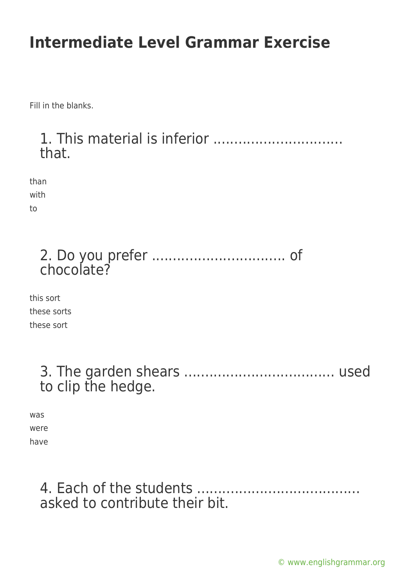Fill in the blanks.

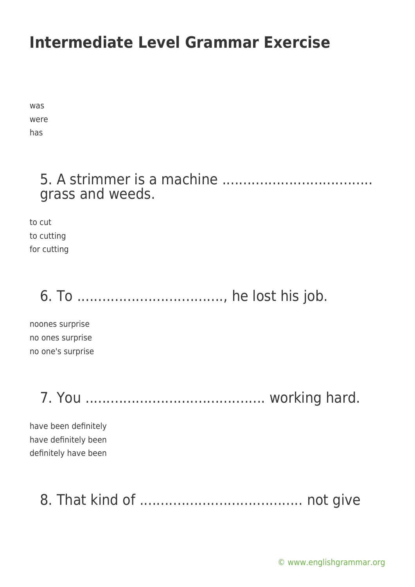was were has

### 5. A strimmer is a machine .................................... grass and weeds.

to cut to cutting for cutting

# 6. To ..................................., he lost his job.

noones surprise no ones surprise no one's surprise

7. You ........................................... working hard.

have been definitely have definitely been definitely have been

## 8. That kind of ....................................... not give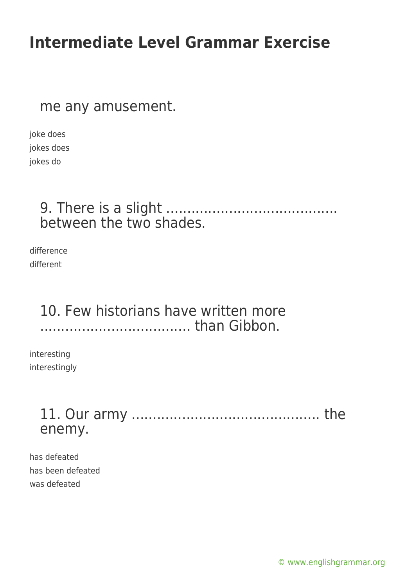#### me any amusement.

joke does jokes does jokes do

### 9. There is a slight ......................................... between the two shades.

difference different

### 10. Few historians have written more .................................... than Gibbon.

interesting interestingly

### 11. Our army ............................................. the enemy.

has defeated has been defeated was defeated

[© www.englishgrammar.org](https://www.englishgrammar.org/)